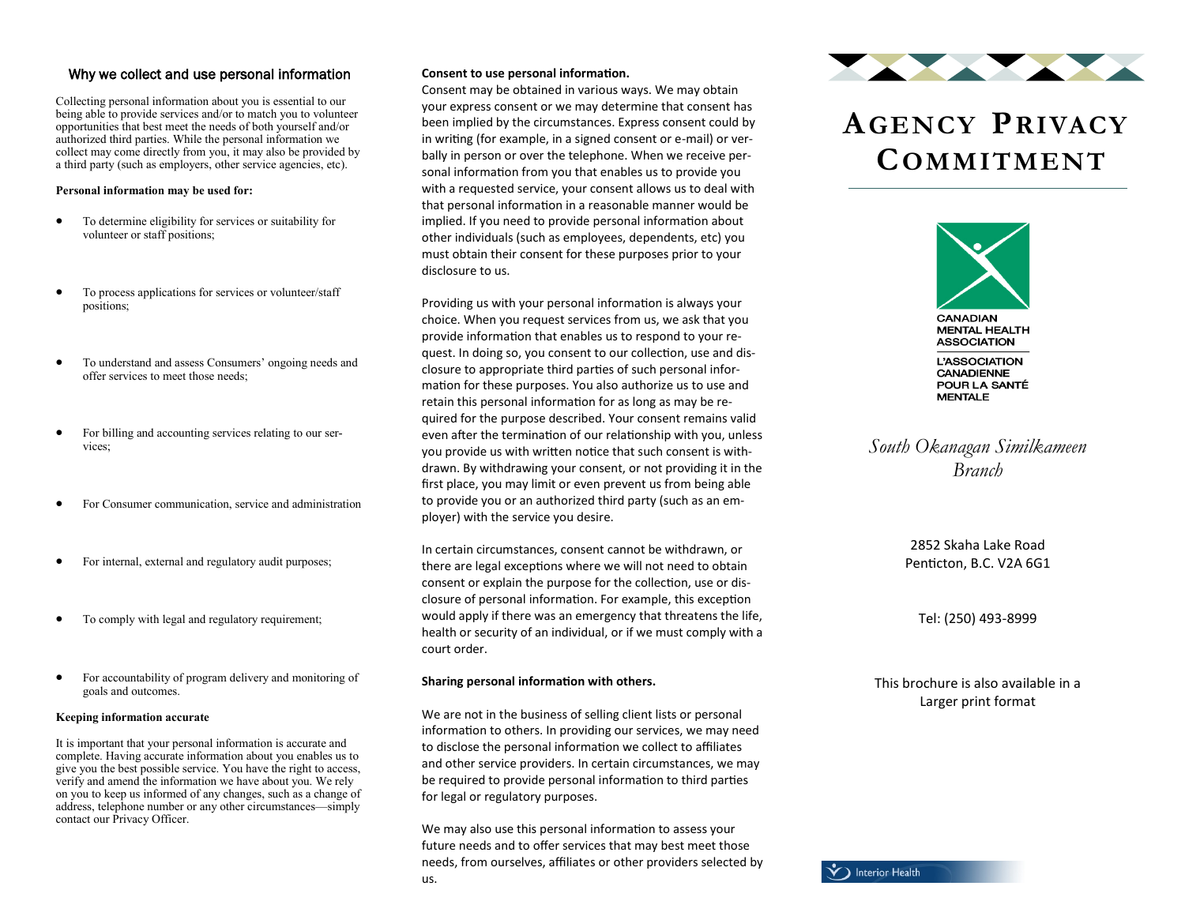### Why we collect and use personal information

Collecting personal information about you is essential to our being able to provide services and/or to match you to volunteer opportunities that best meet the needs of both yourself and/or authorized third parties. While the personal information we collect may come directly from you, it may also be provided by a third party (such as employers, other service agencies, etc).

### **Personal information may be used for:**

- To determine eligibility for services or suitability for volunteer or staff positions;
- To process applications for services or volunteer/staff positions;
- To understand and assess Consumers' ongoing needs and offer services to meet those needs;
- For billing and accounting services relating to our services;
- For Consumer communication, service and administration
- For internal, external and regulatory audit purposes;
- To comply with legal and regulatory requirement;
- For accountability of program delivery and monitoring of goals and outcomes.

### **Keeping information accurate**

It is important that your personal information is accurate and complete. Having accurate information about you enables us to give you the best possible service. You have the right to access, verify and amend the information we have about you. We rely on you to keep us informed of any changes, such as a change of address, telephone number or any other circumstances—simply contact our Privacy Officer.

### **Consent to use personal information.**

Consent may be obtained in various ways. We may obtain your express consent or we may determine that consent has been implied by the circumstances. Express consent could by in writing (for example, in a signed consent or e-mail) or verbally in person or over the telephone. When we receive personal information from you that enables us to provide you with a requested service, your consent allows us to deal with that personal information in a reasonable manner would be implied. If you need to provide personal information about other individuals (such as employees, dependents, etc) you must obtain their consent for these purposes prior to your disclosure to us.

Providing us with your personal information is always your choice. When you request services from us, we ask that you provide information that enables us to respond to your request. In doing so, you consent to our collection, use and disclosure to appropriate third parties of such personal information for these purposes. You also authorize us to use and retain this personal information for as long as may be required for the purpose described. Your consent remains valid even after the termination of our relationship with you, unless you provide us with written notice that such consent is withdrawn. By withdrawing your consent, or not providing it in the first place, you may limit or even prevent us from being able to provide you or an authorized third party (such as an employer) with the service you desire.

In certain circumstances, consent cannot be withdrawn, or there are legal exceptions where we will not need to obtain consent or explain the purpose for the collection, use or disclosure of personal information. For example, this exception would apply if there was an emergency that threatens the life, health or security of an individual, or if we must comply with a court order.

### **Sharing personal information with others.**

We are not in the business of selling client lists or personal information to others. In providing our services, we may need to disclose the personal information we collect to affiliates and other service providers. In certain circumstances, we may be required to provide personal information to third parties for legal or regulatory purposes.

We may also use this personal information to assess your future needs and to offer services that may best meet those needs, from ourselves, affiliates or other providers selected by us.



## **AGENCY PRIVACY COMMITMENT**



*South Okanagan Similkameen Branch*

> 2852 Skaha Lake Road Penticton, B.C. V2A 6G1

Tel: (250) 493-8999

This brochure is also available in a Larger print format